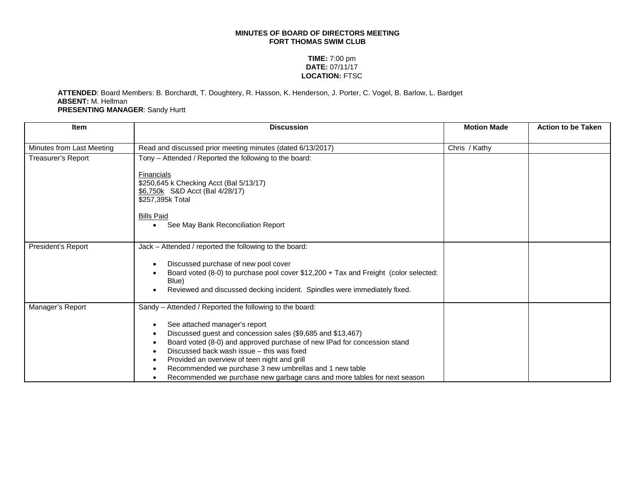## **MINUTES OF BOARD OF DIRECTORS MEETING FORT THOMAS SWIM CLUB**

## **TIME:** 7:00 pm **DATE:** 07/11/17 **LOCATION:** FTSC

## **ATTENDED**: Board Members: B. Borchardt, T. Doughtery, R. Hasson, K. Henderson, J. Porter, C. Vogel, B. Barlow, L. Bardget **ABSENT:** M. Hellman **PRESENTING MANAGER**: Sandy Hurtt

| <b>Item</b>               | <b>Discussion</b>                                                                                                                                                                                                                                                                                                                                                                                             | <b>Motion Made</b> | <b>Action to be Taken</b> |
|---------------------------|---------------------------------------------------------------------------------------------------------------------------------------------------------------------------------------------------------------------------------------------------------------------------------------------------------------------------------------------------------------------------------------------------------------|--------------------|---------------------------|
| Minutes from Last Meeting | Read and discussed prior meeting minutes (dated 6/13/2017)                                                                                                                                                                                                                                                                                                                                                    | Chris / Kathy      |                           |
| <b>Treasurer's Report</b> | Tony - Attended / Reported the following to the board:                                                                                                                                                                                                                                                                                                                                                        |                    |                           |
|                           | Financials<br>\$250,645 k Checking Acct (Bal 5/13/17)<br>\$6,750k S&D Acct (Bal 4/28/17)<br>\$257,395k Total<br><b>Bills Paid</b><br>See May Bank Reconciliation Report<br>$\bullet$                                                                                                                                                                                                                          |                    |                           |
|                           |                                                                                                                                                                                                                                                                                                                                                                                                               |                    |                           |
| President's Report        | Jack - Attended / reported the following to the board:                                                                                                                                                                                                                                                                                                                                                        |                    |                           |
|                           | Discussed purchase of new pool cover<br>Board voted (8-0) to purchase pool cover \$12,200 + Tax and Freight (color selected:<br>Blue)<br>Reviewed and discussed decking incident. Spindles were immediately fixed.                                                                                                                                                                                            |                    |                           |
| Manager's Report          | Sandy - Attended / Reported the following to the board:                                                                                                                                                                                                                                                                                                                                                       |                    |                           |
|                           | See attached manager's report<br>Discussed guest and concession sales (\$9,685 and \$13,467)<br>Board voted (8-0) and approved purchase of new IPad for concession stand<br>Discussed back wash issue - this was fixed<br>Provided an overview of teen night and grill<br>Recommended we purchase 3 new umbrellas and 1 new table<br>Recommended we purchase new garbage cans and more tables for next season |                    |                           |